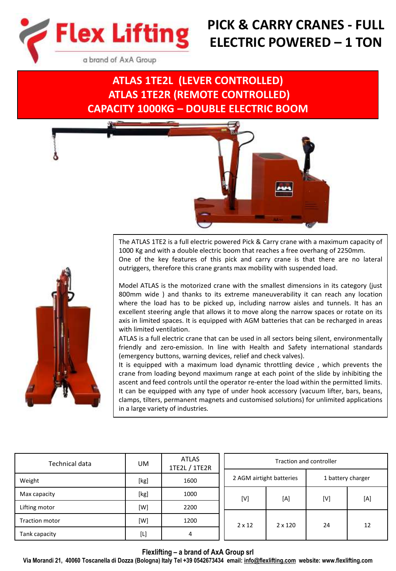

# **PICK & CARRY CRANES - FULL ELECTRIC POWERED – 1 TON**

a brand of AxA Group

## **ATLAS 1TE2L (LEVER CONTROLLED) ATLAS 1TE2R (REMOTE CONTROLLED) CAPACITY 1000KG – DOUBLE ELECTRIC BOOM**



The ATLAS 1TE2 is a full electric powered Pick & Carry crane with a maximum capacity of 1000 Kg and with a double electric boom that reaches a free overhang of 2250mm. One of the key features of this pick and carry crane is that there are no lateral outriggers, therefore this crane grants max mobility with suspended load.

Model ATLAS is the motorized crane with the smallest dimensions in its category (just 800mm wide ) and thanks to its extreme maneuverability it can reach any location where the load has to be picked up, including narrow aisles and tunnels. It has an excellent steering angle that allows it to move along the narrow spaces or rotate on its axis in limited spaces. It is equipped with AGM batteries that can be recharged in areas with limited ventilation.

ATLAS is a full electric crane that can be used in all sectors being silent, environmentally friendly and zero-emission. In line with Health and Safety international standards (emergency buttons, warning devices, relief and check valves).

It is equipped with a maximum load dynamic throttling device , which prevents the crane from loading beyond maximum range at each point of the slide by inhibiting the ascent and feed controls until the operator re-enter the load within the permitted limits. It can be equipped with any type of under hook accessory (vacuum lifter, bars, beans, clamps, tilters, permanent magnets and customised solutions) for unlimited applications in a large variety of industries.

| Technical data        | UM.             | <b>ATLAS</b><br>1TE2L / 1TE2R |  | <b>Traction and controller</b> |                |                   |     |
|-----------------------|-----------------|-------------------------------|--|--------------------------------|----------------|-------------------|-----|
| Weight                | [kg]            | 1600                          |  | 2 AGM airtight batteries       |                | 1 battery charger |     |
| Max capacity          | [kg]            | 1000                          |  | [V]                            | [A]            | [V]               | [A] |
| Lifting motor         | [W]             | 2200                          |  |                                |                |                   |     |
| <b>Traction motor</b> | [W]             | 1200                          |  | $2 \times 12$                  | $2 \times 120$ | 24                | 12  |
| Tank capacity         | $[{\mathsf L}]$ | 4                             |  |                                |                |                   |     |

**Flexlifting – a brand of AxA Group srl**

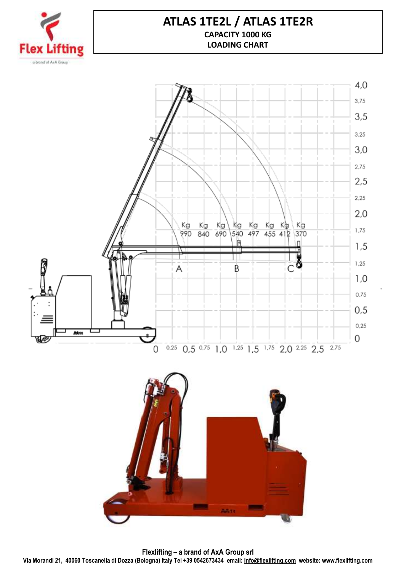

### **ATLAS 1TE2L / ATLAS 1TE2R CAPACITY 1000 KG LOADING CHART**



**Flexlifting – a brand of AxA Group srl Via Morandi 21, 40060 Toscanella di Dozza (Bologna) Italy Tel +39 0542673434 email: [info@flexlifting.com](mailto:info@flexlifting.com) website: www.flexlifting.com**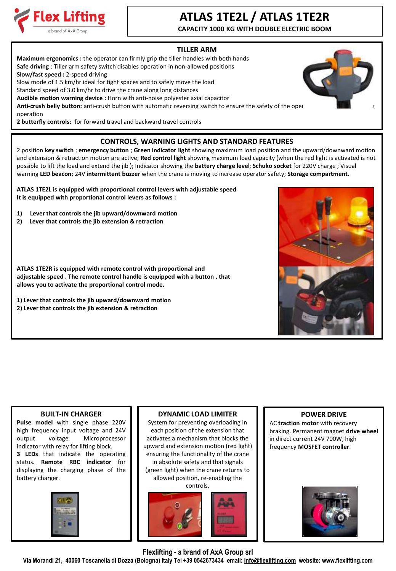

## **ATLAS 1TE2L / ATLAS 1TE2R**

**CAPACITY 1000 KG WITH DOUBLE ELECTRIC BOOM**

### **TILLER ARM**

**Maximum ergonomics :** the operator can firmly grip the tiller handles with both hands **Safe driving** : Tiller arm safety switch disables operation in non-allowed positions **Slow/fast speed :** 2-speed driving Slow mode of 1.5 km/hr ideal for tight spaces and to safely move the load Standard speed of 3.0 km/hr to drive the crane along long distances **Audible motion warning device :** Horn with anti-noise polyester axial capacitor Anti-crush belly button: anti-crush button with automatic reversing switch to ensure the safety of the oper operation

**2 butterfly controls:** for forward travel and backward travel controls

### **CONTROLS, WARNING LIGHTS AND STANDARD FEATURES**

2 position **key switch** ; **emergency button** ; **Green indicator light** showing maximum load position and the upward/downward motion and extension & retraction motion are active; **Red control light** showing maximum load capacity (when the red light is activated is not possible to lift the load and extend the jib ); Indicator showing the **battery charge level**; **Schuko socket** for 220V charge ; Visual warning **LED beacon**; 24V **intermittent buzzer** when the crane is moving to increase operator safety; **Storage compartment.**

**ATLAS 1TE2L is equipped with proportional control levers with adjustable speed It is equipped with proportional control levers as follows :**

- **1) Lever that controls the jib upward/downward motion**
- **2) Lever that controls the jib extension & retraction**

**ATLAS 1TE2R is equipped with remote control with proportional and adjustable speed . The remote control handle is equipped with a button , that allows you to activate the proportional control mode.**

**1) Lever that controls the jib upward/downward motion 2) Lever that controls the jib extension & retraction**

#### **BUILT-IN CHARGER**

**Pulse model** with single phase 220V high frequency input voltage and 24V output voltage. Microprocessor indicator with relay for lifting block. **3 LEDs** that indicate the operating status. **Remote RBC indicator** for displaying the charging phase of the battery charger.



#### **DYNAMIC LOAD LIMITER**

System for preventing overloading in each position of the extension that activates a mechanism that blocks the upward and extension motion (red light) ensuring the functionality of the crane in absolute safety and that signals (green light) when the crane returns to allowed position, re-enabling the controls.



#### **POWER DRIVE**

AC **traction motor** with recovery braking. Permanent magnet **drive wheel**  in direct current 24V 700W; high frequency **MOSFET controller**.



**Flexlifting - a brand of AxA Group srl**



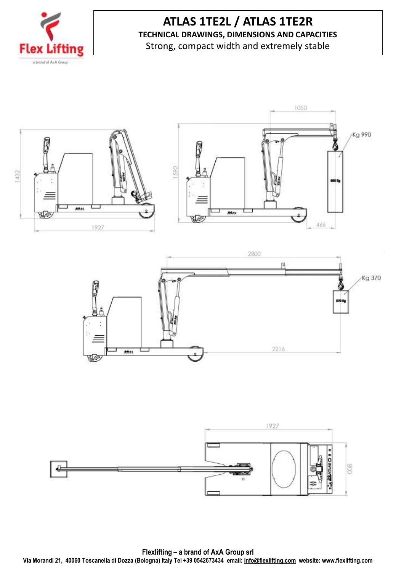

## **ATLAS 1TE2L / ATLAS 1TE2R TECHNICAL DRAWINGS, DIMENSIONS AND CAPACITIES**

Strong, compact width and extremely stable





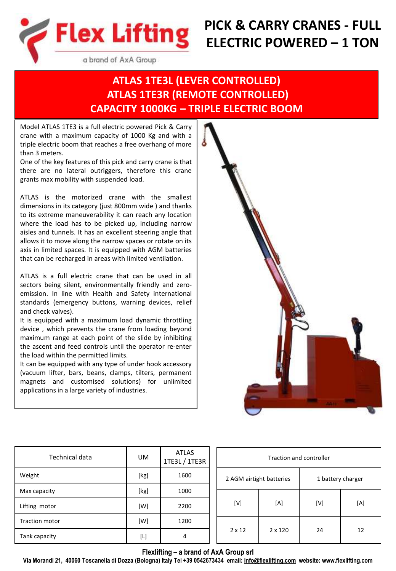

# **PICK & CARRY CRANES - FULL ELECTRIC POWERED – 1 TON**

a brand of AxA Group

## **ATLAS 1TE3L (LEVER CONTROLLED) ATLAS 1TE3R (REMOTE CONTROLLED) CAPACITY 1000KG – TRIPLE ELECTRIC BOOM**

Model ATLAS 1TE3 is a full electric powered Pick & Carry crane with a maximum capacity of 1000 Kg and with a triple electric boom that reaches a free overhang of more than 3 meters.

One of the key features of this pick and carry crane is that there are no lateral outriggers, therefore this crane grants max mobility with suspended load.

ATLAS is the motorized crane with the smallest dimensions in its category (just 800mm wide ) and thanks to its extreme maneuverability it can reach any location where the load has to be picked up, including narrow aisles and tunnels. It has an excellent steering angle that allows it to move along the narrow spaces or rotate on its axis in limited spaces. It is equipped with AGM batteries that can be recharged in areas with limited ventilation.

ATLAS is a full electric crane that can be used in all sectors being silent, environmentally friendly and zeroemission. In line with Health and Safety international standards (emergency buttons, warning devices, relief and check valves).

It is equipped with a maximum load dynamic throttling device , which prevents the crane from loading beyond maximum range at each point of the slide by inhibiting the ascent and feed controls until the operator re-enter the load within the permitted limits.

It can be equipped with any type of under hook accessory (vacuum lifter, bars, beans, clamps, tilters, permanent magnets and customised solutions) for unlimited applications in a large variety of industries.



| Technical data        | UM   | <b>ATLAS</b><br>1TE3L / 1TE3R |  |
|-----------------------|------|-------------------------------|--|
| Weight                | [kg] | 1600                          |  |
| Max capacity          | [kg] | 1000                          |  |
| Lifting motor         | [W]  | 2200                          |  |
| <b>Traction motor</b> | [W]  | 1200                          |  |
| Tank capacity         | [L]  |                               |  |

| Traction and controller  |                |                   |     |  |  |  |
|--------------------------|----------------|-------------------|-----|--|--|--|
| 2 AGM airtight batteries |                | 1 battery charger |     |  |  |  |
| [V]                      | [A]            | [V]               | [A] |  |  |  |
| $2 \times 12$            | $2 \times 120$ | 24                | 12  |  |  |  |

**Flexlifting – a brand of AxA Group srl**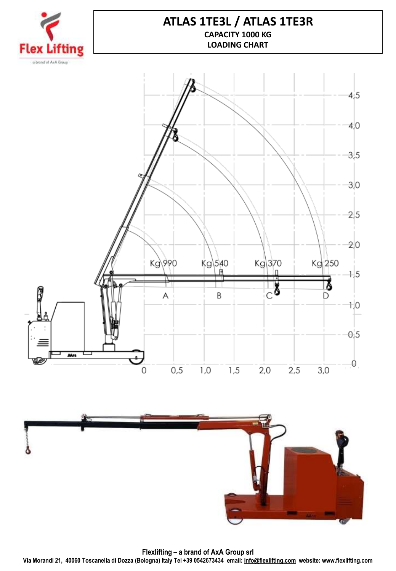

### **ATLAS 1TE3L / ATLAS 1TE3R CAPACITY 1000 KG LOADING CHART**





**Flexlifting – a brand of AxA Group srl Via Morandi 21, 40060 Toscanella di Dozza (Bologna) Italy Tel +39 0542673434 email: [info@flexlifting.com](mailto:info@flexlifting.com) website: www.flexlifting.com**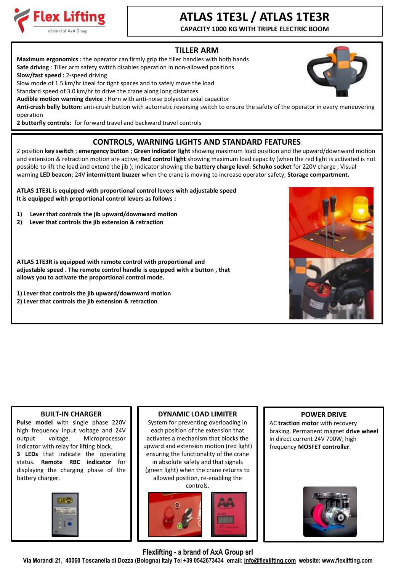

# **ATLAS 1TE3L / ATLAS 1TE3R**

**CAPACITY 1000 KG WITH TRIPLE ELECTRIC BOOM**

### **TILLER ARM**

**Maximum ergonomics :** the operator can firmly grip the tiller handles with both hands **Safe driving** : Tiller arm safety switch disables operation in non-allowed positions

**Slow/fast speed :** 2-speed driving

Slow mode of 1.5 km/hr ideal for tight spaces and to safely move the load

Standard speed of 3.0 km/hr to drive the crane along long distances

**Audible motion warning device :** Horn with anti-noise polyester axial capacitor

**Anti-crush belly button:** anti-crush button with automatic reversing switch to ensure the safety of the operator in every maneuvering operation

**2 butterfly controls:** for forward travel and backward travel controls

### **CONTROLS, WARNING LIGHTS AND STANDARD FEATURES**

2 position **key switch** ; **emergency button** ; **Green indicator light** showing maximum load position and the upward/downward motion and extension & retraction motion are active; **Red control light** showing maximum load capacity (when the red light is activated is not possible to lift the load and extend the jib ); Indicator showing the **battery charge level**; **Schuko socket** for 220V charge ; Visual warning **LED beacon**; 24V **intermittent buzzer** when the crane is moving to increase operator safety; **Storage compartment.**

**ATLAS 1TE3L is equipped with proportional control levers with adjustable speed It is equipped with proportional control levers as follows :**

- **1) Lever that controls the jib upward/downward motion**
- **2) Lever that controls the jib extension & retraction**

**ATLAS 1TE3R is equipped with remote control with proportional and adjustable speed . The remote control handle is equipped with a button , that allows you to activate the proportional control mode.**

**1) Lever that controls the jib upward/downward motion 2) Lever that controls the jib extension & retraction**

### **BUILT-IN CHARGER**

**Pulse model** with single phase 220V high frequency input voltage and 24V output voltage. Microprocessor indicator with relay for lifting block. **3 LEDs** that indicate the operating status. **Remote RBC indicator** for displaying the charging phase of the battery charger.



### **DYNAMIC LOAD LIMITER**

System for preventing overloading in each position of the extension that activates a mechanism that blocks the upward and extension motion (red light) ensuring the functionality of the crane in absolute safety and that signals (green light) when the crane returns to allowed position, re-enabling the controls.



### **POWER DRIVE**

AC **traction motor** with recovery braking. Permanent magnet **drive wheel**  in direct current 24V 700W; high frequency **MOSFET controller**.



**Flexlifting - a brand of AxA Group srl**